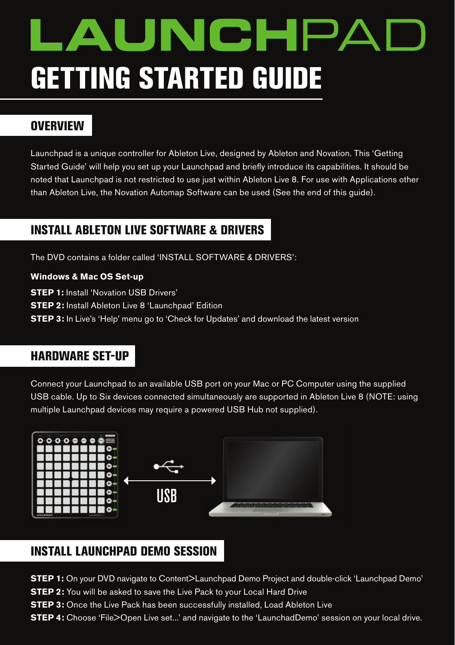# **AUNCHPA** gETTing sTArTEd gUidE

## **OVERVIEW**

Launchpad is a unique controller for Ableton Live, designed by Ableton and Novation. This 'Getting Started Guide' will help you set up your Launchpad and briefly introduce its capabilities. It should be noted that Launchpad is not restricted to use just within Ableton Live 8. For use with Applications other than Ableton Live, the Novation Automap Software can be used (See the end of this guide).

## insTALL ABLETOn LivE sOfTwArE & drivErs

The DVD contains a folder called 'INSTALL SOFTWARE & DRIVERS':

#### **Windows & Mac OS Set-up**

**STEP 1:** Install 'Novation USB Drivers'

**STEP 2:** Install Ableton Live 8 'Launchpad' Edition

**STEP 3:** In Live's 'Help' menu go to 'Check for Updates' and download the latest version

## hArdwArE sET-Up

Connect your Launchpad to an available USB port on your Mac or PC Computer using the supplied USB cable. Up to Six devices connected simultaneously are supported in Ableton Live 8 (NOTE: using multiple Launchpad devices may require a powered USB Hub not supplied).



## insTALL LAUnchpAd dEMO sEssiOn

**STEP 1:** On your DVD navigate to Content>Launchpad Demo Project and double-click 'Launchpad Demo'

**STEP 2:** You will be asked to save the Live Pack to your Local Hard Drive

**STEP 3:** Once the Live Pack has been successfully installed, Load Ableton Live

**STEP 4:** Choose 'File>Open Live set...' and navigate to the 'LaunchadDemo' session on your local drive.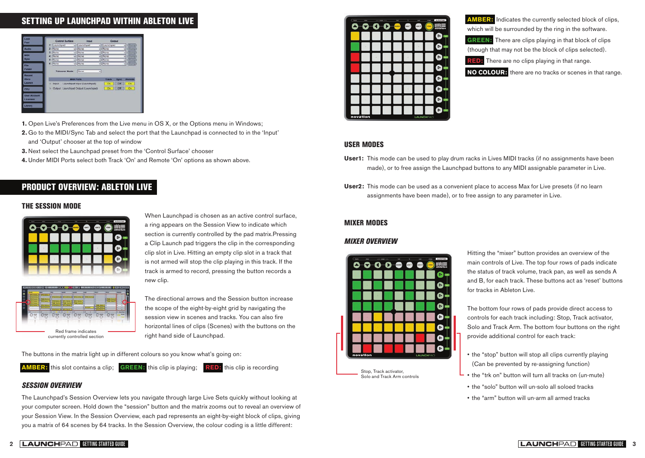# sETTing Up LAUnchpAd wiThin ABLETOn LivE



- **1.** Open Live's Preferences from the Live menu in OS X, or the Options menu in Windows;
- **2.** Go to the MIDI/Sync Tab and select the port that the Launchpad is connected to in the 'Input' and 'Output' chooser at the top of window
- **3.** Next select the Launchpad preset from the 'Control Surface' chooser

**4.** Under MIDI Ports select both Track 'On' and Remote 'On' options as shown above.

## prOdUcT OvErviEw: ABLETOn LivE

#### ThE sEssiOn MOdE



When Launchpad is chosen as an active control surface, a ring appears on the Session View to indicate which section is currently controlled by the pad matrix.Pressing a Clip Launch pad triggers the clip in the corresponding clip slot in Live. Hitting an empty clip slot in a track that is not armed will stop the clip playing in this track. If the track is armed to record, pressing the button records a new clip.



The directional arrows and the Session button increase the scope of the eight-by-eight grid by navigating the session view in scenes and tracks. You can also fire horizontal lines of clips (Scenes) with the buttons on the right hand side of Launchpad.

The buttons in the matrix light up in different colours so you know what's going on:



#### *SESSION OVERVIEW*

The Launchpad's Session Overview lets you navigate through large Live Sets quickly without looking at your computer screen. Hold down the "session" button and the matrix zooms out to reveal an overview of your Session View. In the Session Overview, each pad represents an eight-by-eight block of clips, giving you a matrix of 64 scenes by 64 tracks. In the Session Overview, the colour coding is a little different:



**AMBER:** Indicates the currently selected block of clips, which will be surrounded by the ring in the software.

**GREEN:** There are clips playing in that block of clips (though that may not be the block of clips selected).

**RED:** There are no clips playing in that range.

**NO COLOUR:** there are no tracks or scenes in that range.

#### UsEr MOdEs

- **User1:** This mode can be used to play drum racks in Lives MIDI tracks (if no assignments have been made), or to free assign the Launchpad buttons to any MIDI assignable parameter in Live.
- **User2:** This mode can be used as a convenient place to access Max for Live presets (if no learn assignments have been made), or to free assign to any parameter in Live.

#### MiXEr MOdEs

#### *MIXER OVERVIEW*



Hitting the "mixer" button provides an overview of the main controls of Live. The top four rows of pads indicate the status of track volume, track pan, as well as sends A and B, for each track. These buttons act as 'reset' buttons for tracks in Ableton Live.

The bottom four rows of pads provide direct access to controls for each track including: Stop, Track activator, Solo and Track Arm. The bottom four buttons on the right provide additional control for each track:

- the "stop" button will stop all clips currently playing (Can be prevented by re-assigning function)
- the "trk on" button will turn all tracks on (un-mute)
- the "solo" button will un-solo all soloed tracks
- the "arm" button will un-arm all armed tracks